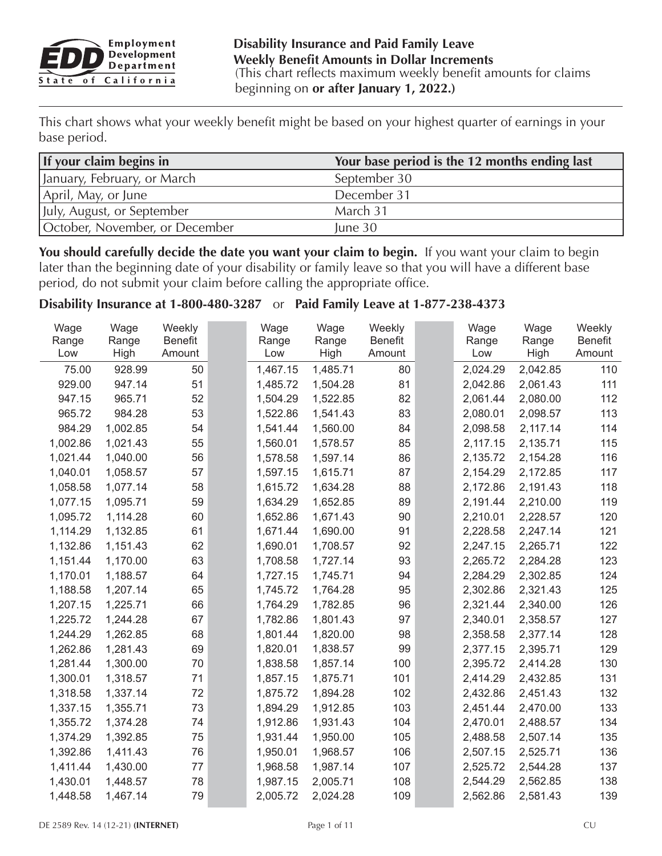

This chart shows what your weekly benefit might be based on your highest quarter of earnings in your base period.

| If your claim begins in            | Your base period is the 12 months ending last |
|------------------------------------|-----------------------------------------------|
| January, February, or March        | September 30                                  |
| April, May, or June                | December 31                                   |
| <b>IJuly, August, or September</b> | March 31                                      |
| October, November, or December     | June 30                                       |

You should carefully decide the date you want your claim to begin. If you want your claim to begin later than the beginning date of your disability or family leave so that you will have a different base period, do not submit your claim before calling the appropriate office.

## **Disability Insurance at 1-800-480-3287** or **Paid Family Leave at 1-877-238-4373**

| Wage         | Wage<br>Range | Weekly<br><b>Benefit</b> | Wage<br>Range | Wage<br>Range | Weekly<br><b>Benefit</b> | Wage         | Wage<br>Range | Weekly<br><b>Benefit</b> |
|--------------|---------------|--------------------------|---------------|---------------|--------------------------|--------------|---------------|--------------------------|
| Range<br>Low | High          | Amount                   | Low           | High          | Amount                   | Range<br>Low | High          | Amount                   |
| 75.00        | 928.99        | 50                       | 1,467.15      | 1,485.71      | 80                       | 2,024.29     | 2,042.85      | 110                      |
| 929.00       | 947.14        | 51                       | 1,485.72      | 1,504.28      | 81                       | 2,042.86     | 2,061.43      | 111                      |
| 947.15       | 965.71        | 52                       | 1,504.29      | 1,522.85      | 82                       | 2,061.44     | 2,080.00      | 112                      |
| 965.72       | 984.28        | 53                       | 1,522.86      | 1,541.43      | 83                       | 2,080.01     | 2,098.57      | 113                      |
| 984.29       | 1,002.85      | 54                       | 1,541.44      | 1,560.00      | 84                       | 2,098.58     | 2,117.14      | 114                      |
| 1,002.86     | 1,021.43      | 55                       | 1,560.01      | 1,578.57      | 85                       | 2,117.15     | 2,135.71      | 115                      |
| 1,021.44     | 1,040.00      | 56                       | 1,578.58      | 1,597.14      | 86                       | 2,135.72     | 2,154.28      | 116                      |
| 1,040.01     | 1,058.57      | 57                       | 1,597.15      | 1,615.71      | 87                       | 2,154.29     | 2,172.85      | 117                      |
| 1,058.58     | 1,077.14      | 58                       | 1,615.72      | 1,634.28      | 88                       | 2,172.86     | 2,191.43      | 118                      |
| 1,077.15     | 1,095.71      | 59                       | 1,634.29      | 1,652.85      | 89                       | 2,191.44     | 2,210.00      | 119                      |
| 1,095.72     | 1,114.28      | 60                       | 1,652.86      | 1,671.43      | 90                       | 2,210.01     | 2,228.57      | 120                      |
| 1,114.29     | 1,132.85      | 61                       | 1,671.44      | 1,690.00      | 91                       | 2,228.58     | 2,247.14      | 121                      |
| 1,132.86     | 1,151.43      | 62                       | 1,690.01      | 1,708.57      | 92                       | 2,247.15     | 2,265.71      | 122                      |
| 1,151.44     | 1,170.00      | 63                       | 1,708.58      | 1,727.14      | 93                       | 2,265.72     | 2,284.28      | 123                      |
| 1,170.01     | 1,188.57      | 64                       | 1,727.15      | 1,745.71      | 94                       | 2,284.29     | 2,302.85      | 124                      |
| 1,188.58     | 1,207.14      | 65                       | 1,745.72      | 1,764.28      | 95                       | 2,302.86     | 2,321.43      | 125                      |
| 1,207.15     | 1,225.71      | 66                       | 1,764.29      | 1,782.85      | 96                       | 2,321.44     | 2,340.00      | 126                      |
| 1,225.72     | 1,244.28      | 67                       | 1,782.86      | 1,801.43      | 97                       | 2,340.01     | 2,358.57      | 127                      |
| 1,244.29     | 1,262.85      | 68                       | 1,801.44      | 1,820.00      | 98                       | 2,358.58     | 2,377.14      | 128                      |
| 1,262.86     | 1,281.43      | 69                       | 1,820.01      | 1,838.57      | 99                       | 2,377.15     | 2,395.71      | 129                      |
| 1,281.44     | 1,300.00      | 70                       | 1,838.58      | 1,857.14      | 100                      | 2,395.72     | 2,414.28      | 130                      |
| 1,300.01     | 1,318.57      | 71                       | 1,857.15      | 1,875.71      | 101                      | 2,414.29     | 2,432.85      | 131                      |
| 1,318.58     | 1,337.14      | 72                       | 1,875.72      | 1,894.28      | 102                      | 2,432.86     | 2,451.43      | 132                      |
| 1,337.15     | 1,355.71      | 73                       | 1,894.29      | 1,912.85      | 103                      | 2,451.44     | 2,470.00      | 133                      |
| 1,355.72     | 1,374.28      | 74                       | 1,912.86      | 1,931.43      | 104                      | 2,470.01     | 2,488.57      | 134                      |
| 1,374.29     | 1,392.85      | 75                       | 1,931.44      | 1,950.00      | 105                      | 2,488.58     | 2,507.14      | 135                      |
| 1,392.86     | 1,411.43      | 76                       | 1,950.01      | 1,968.57      | 106                      | 2,507.15     | 2,525.71      | 136                      |
| 1,411.44     | 1,430.00      | 77                       | 1,968.58      | 1,987.14      | 107                      | 2,525.72     | 2,544.28      | 137                      |
| 1,430.01     | 1,448.57      | 78                       | 1,987.15      | 2,005.71      | 108                      | 2,544.29     | 2,562.85      | 138                      |
| 1,448.58     | 1,467.14      | 79                       | 2,005.72      | 2,024.28      | 109                      | 2,562.86     | 2,581.43      | 139                      |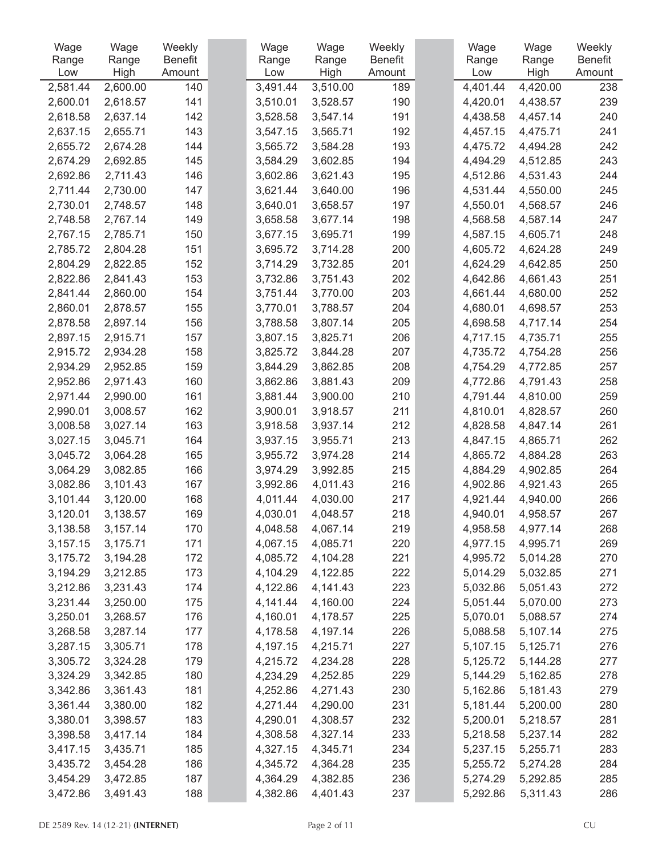| Wage     | Wage     | Weekly  | Wage     | Wage     | Weekly         | Wage     | Wage     | Weekly         |
|----------|----------|---------|----------|----------|----------------|----------|----------|----------------|
| Range    | Range    | Benefit | Range    | Range    | <b>Benefit</b> | Range    | Range    | <b>Benefit</b> |
| Low      | High     | Amount  | Low      | High     | Amount         | Low      | High     | Amount         |
| 2,581.44 | 2,600.00 | 140     | 3,491.44 | 3,510.00 | 189            | 4,401.44 | 4,420.00 | 238            |
| 2,600.01 | 2,618.57 | 141     | 3,510.01 | 3,528.57 | 190            | 4,420.01 | 4,438.57 | 239            |
| 2,618.58 | 2,637.14 | 142     | 3,528.58 | 3,547.14 | 191            | 4,438.58 | 4,457.14 | 240            |
| 2,637.15 | 2,655.71 | 143     | 3,547.15 | 3,565.71 | 192            | 4,457.15 | 4,475.71 | 241            |
| 2,655.72 | 2,674.28 | 144     | 3,565.72 | 3,584.28 | 193            | 4,475.72 | 4,494.28 | 242            |
| 2,674.29 | 2,692.85 | 145     | 3,584.29 | 3,602.85 | 194            | 4,494.29 | 4,512.85 | 243            |
| 2,692.86 | 2,711.43 | 146     | 3,602.86 | 3,621.43 | 195            | 4,512.86 | 4,531.43 | 244            |
| 2,711.44 | 2,730.00 | 147     | 3,621.44 | 3,640.00 | 196            | 4,531.44 | 4,550.00 | 245            |
| 2,730.01 | 2,748.57 | 148     | 3,640.01 | 3,658.57 | 197            | 4,550.01 | 4,568.57 | 246            |
| 2,748.58 | 2,767.14 | 149     | 3,658.58 | 3,677.14 | 198            | 4,568.58 | 4,587.14 | 247            |
| 2,767.15 | 2,785.71 | 150     | 3,677.15 | 3,695.71 | 199            | 4,587.15 | 4,605.71 | 248            |
| 2,785.72 | 2,804.28 | 151     | 3,695.72 | 3,714.28 | 200            | 4,605.72 | 4,624.28 | 249            |
| 2,804.29 | 2,822.85 | 152     | 3,714.29 | 3,732.85 | 201            | 4,624.29 | 4,642.85 | 250            |
| 2,822.86 | 2,841.43 | 153     | 3,732.86 | 3,751.43 | 202            | 4,642.86 | 4,661.43 | 251            |
| 2,841.44 | 2,860.00 | 154     | 3,751.44 | 3,770.00 | 203            | 4,661.44 | 4,680.00 | 252            |
| 2,860.01 | 2,878.57 | 155     | 3,770.01 | 3,788.57 | 204            | 4,680.01 | 4,698.57 | 253            |
| 2,878.58 | 2,897.14 | 156     | 3,788.58 | 3,807.14 | 205            | 4,698.58 | 4,717.14 | 254            |
| 2,897.15 | 2,915.71 | 157     | 3,807.15 | 3,825.71 | 206            | 4,717.15 | 4,735.71 | 255            |
| 2,915.72 | 2,934.28 | 158     | 3,825.72 | 3,844.28 | 207            | 4,735.72 | 4,754.28 | 256            |
| 2,934.29 | 2,952.85 | 159     | 3,844.29 | 3,862.85 | 208            | 4,754.29 | 4,772.85 | 257            |
| 2,952.86 | 2,971.43 | 160     | 3,862.86 | 3,881.43 | 209            | 4,772.86 | 4,791.43 | 258            |
| 2,971.44 | 2,990.00 | 161     | 3,881.44 | 3,900.00 | 210            | 4,791.44 | 4,810.00 | 259            |
| 2,990.01 | 3,008.57 | 162     | 3,900.01 | 3,918.57 | 211            | 4,810.01 | 4,828.57 | 260            |
| 3,008.58 | 3,027.14 | 163     | 3,918.58 | 3,937.14 | 212            | 4,828.58 | 4,847.14 | 261            |
| 3,027.15 | 3,045.71 | 164     | 3,937.15 | 3,955.71 | 213            | 4,847.15 | 4,865.71 | 262            |
| 3,045.72 | 3,064.28 | 165     | 3,955.72 | 3,974.28 | 214            | 4,865.72 | 4,884.28 | 263            |
| 3,064.29 | 3,082.85 | 166     | 3,974.29 | 3,992.85 | 215            | 4,884.29 | 4,902.85 | 264            |
| 3,082.86 | 3,101.43 | 167     | 3,992.86 | 4,011.43 | 216            | 4,902.86 | 4,921.43 | 265            |
| 3,101.44 | 3,120.00 | 168     | 4,011.44 | 4,030.00 | 217            | 4,921.44 | 4,940.00 | 266            |
| 3,120.01 | 3,138.57 | 169     | 4,030.01 | 4,048.57 | 218            | 4,940.01 | 4,958.57 | 267            |
| 3,138.58 | 3,157.14 | 170     | 4,048.58 | 4,067.14 | 219            | 4,958.58 | 4,977.14 | 268            |
| 3,157.15 | 3,175.71 | 171     | 4,067.15 | 4,085.71 | 220            | 4,977.15 | 4,995.71 | 269            |
| 3,175.72 | 3,194.28 | 172     | 4,085.72 | 4,104.28 | 221            | 4,995.72 | 5,014.28 | 270            |
| 3,194.29 | 3,212.85 | 173     | 4,104.29 | 4,122.85 | 222            | 5,014.29 | 5,032.85 | 271            |
| 3,212.86 | 3,231.43 | 174     | 4,122.86 | 4,141.43 | 223            | 5,032.86 | 5,051.43 | 272            |
| 3,231.44 | 3,250.00 | 175     | 4,141.44 | 4,160.00 | 224            | 5,051.44 | 5,070.00 | 273            |
| 3,250.01 | 3,268.57 | 176     | 4,160.01 | 4,178.57 | 225            | 5,070.01 | 5,088.57 | 274            |
| 3,268.58 | 3,287.14 | 177     | 4,178.58 | 4,197.14 | 226            | 5,088.58 | 5,107.14 | 275            |
| 3,287.15 | 3,305.71 | 178     | 4,197.15 | 4,215.71 | 227            | 5,107.15 | 5,125.71 | 276            |
| 3,305.72 | 3,324.28 | 179     | 4,215.72 | 4,234.28 | 228            | 5,125.72 | 5,144.28 | 277            |
| 3,324.29 | 3,342.85 | 180     | 4,234.29 | 4,252.85 | 229            | 5,144.29 | 5,162.85 | 278            |
| 3,342.86 | 3,361.43 | 181     | 4,252.86 | 4,271.43 | 230            | 5,162.86 | 5,181.43 | 279            |
| 3,361.44 | 3,380.00 | 182     | 4,271.44 | 4,290.00 | 231            | 5,181.44 | 5,200.00 | 280            |
| 3,380.01 | 3,398.57 | 183     | 4,290.01 | 4,308.57 | 232            | 5,200.01 | 5,218.57 | 281            |
| 3,398.58 | 3,417.14 | 184     | 4,308.58 | 4,327.14 | 233            | 5,218.58 | 5,237.14 | 282            |
| 3,417.15 | 3,435.71 | 185     | 4,327.15 | 4,345.71 | 234            | 5,237.15 | 5,255.71 | 283            |
| 3,435.72 | 3,454.28 | 186     | 4,345.72 | 4,364.28 | 235            | 5,255.72 | 5,274.28 | 284            |
| 3,454.29 | 3,472.85 | 187     | 4,364.29 | 4,382.85 | 236            | 5,274.29 | 5,292.85 | 285            |
| 3,472.86 | 3,491.43 | 188     | 4,382.86 | 4,401.43 | 237            | 5,292.86 | 5,311.43 | 286            |
|          |          |         |          |          |                |          |          |                |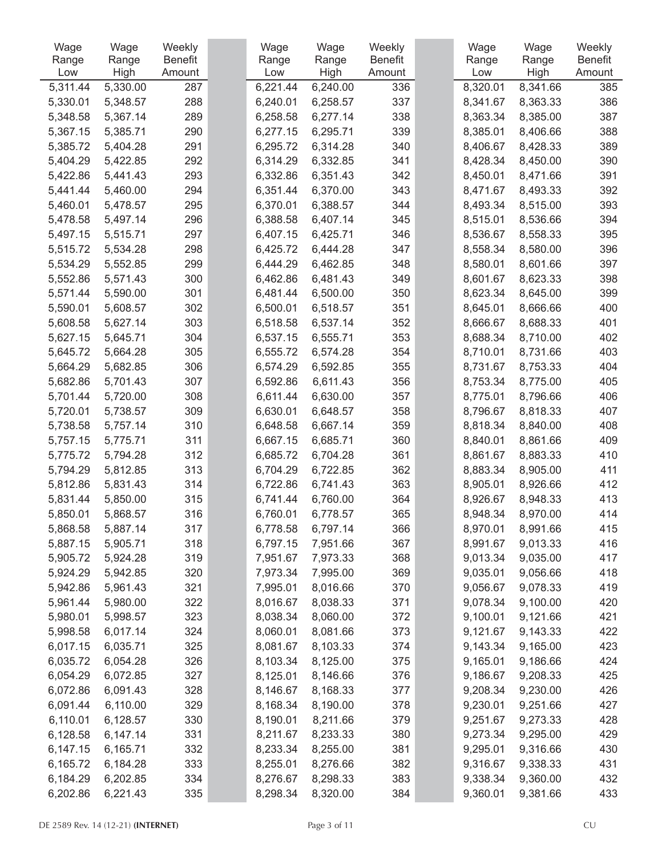| Wage     | Wage     | Weekly  | Wage     | Wage     | Weekly         | Wage     | Wage     | Weekly         |
|----------|----------|---------|----------|----------|----------------|----------|----------|----------------|
| Range    | Range    | Benefit | Range    | Range    | <b>Benefit</b> | Range    | Range    | <b>Benefit</b> |
| Low      | High     | Amount  | Low      | High     | Amount         | Low      | High     | Amount         |
| 5,311.44 | 5,330.00 | 287     | 6,221.44 | 6,240.00 | 336            | 8,320.01 | 8,341.66 | 385            |
| 5,330.01 | 5,348.57 | 288     | 6,240.01 | 6,258.57 | 337            | 8,341.67 | 8,363.33 | 386            |
| 5,348.58 | 5,367.14 | 289     | 6,258.58 | 6,277.14 | 338            | 8,363.34 | 8,385.00 | 387            |
| 5,367.15 | 5,385.71 | 290     | 6,277.15 | 6,295.71 | 339            | 8,385.01 | 8,406.66 | 388            |
| 5,385.72 | 5,404.28 | 291     | 6,295.72 | 6,314.28 | 340            | 8,406.67 | 8,428.33 | 389            |
| 5,404.29 | 5,422.85 | 292     | 6,314.29 | 6,332.85 | 341            | 8,428.34 | 8,450.00 | 390            |
| 5,422.86 | 5,441.43 | 293     | 6,332.86 | 6,351.43 | 342            | 8,450.01 | 8,471.66 | 391            |
| 5,441.44 | 5,460.00 | 294     | 6,351.44 | 6,370.00 | 343            | 8,471.67 | 8,493.33 | 392            |
| 5,460.01 | 5,478.57 | 295     | 6,370.01 | 6,388.57 | 344            | 8,493.34 | 8,515.00 | 393            |
| 5,478.58 | 5,497.14 | 296     | 6,388.58 | 6,407.14 | 345            | 8,515.01 | 8,536.66 | 394            |
| 5,497.15 | 5,515.71 | 297     | 6,407.15 | 6,425.71 | 346            | 8,536.67 | 8,558.33 | 395            |
| 5,515.72 | 5,534.28 | 298     | 6,425.72 | 6,444.28 | 347            | 8,558.34 | 8,580.00 | 396            |
| 5,534.29 | 5,552.85 | 299     | 6,444.29 | 6,462.85 | 348            | 8,580.01 | 8,601.66 | 397            |
| 5,552.86 | 5,571.43 | 300     | 6,462.86 | 6,481.43 | 349            | 8,601.67 | 8,623.33 | 398            |
| 5,571.44 | 5,590.00 | 301     | 6,481.44 | 6,500.00 | 350            | 8,623.34 | 8,645.00 | 399            |
| 5,590.01 | 5,608.57 | 302     | 6,500.01 | 6,518.57 | 351            | 8,645.01 | 8,666.66 | 400            |
| 5,608.58 | 5,627.14 | 303     | 6,518.58 | 6,537.14 | 352            | 8,666.67 | 8,688.33 | 401            |
| 5,627.15 | 5,645.71 | 304     | 6,537.15 | 6,555.71 | 353            | 8,688.34 | 8,710.00 | 402            |
| 5,645.72 | 5,664.28 | 305     | 6,555.72 | 6,574.28 | 354            | 8,710.01 | 8,731.66 | 403            |
| 5,664.29 | 5,682.85 | 306     | 6,574.29 | 6,592.85 | 355            | 8,731.67 | 8,753.33 | 404            |
| 5,682.86 | 5,701.43 | 307     | 6,592.86 | 6,611.43 | 356            | 8,753.34 | 8,775.00 | 405            |
| 5,701.44 | 5,720.00 | 308     | 6,611.44 | 6,630.00 | 357            | 8,775.01 | 8,796.66 | 406            |
| 5,720.01 | 5,738.57 | 309     | 6,630.01 | 6,648.57 | 358            | 8,796.67 | 8,818.33 | 407            |
| 5,738.58 | 5,757.14 | 310     | 6,648.58 | 6,667.14 | 359            | 8,818.34 | 8,840.00 | 408            |
| 5,757.15 | 5,775.71 | 311     | 6,667.15 | 6,685.71 | 360            | 8,840.01 | 8,861.66 | 409            |
| 5,775.72 | 5,794.28 | 312     | 6,685.72 | 6,704.28 | 361            | 8,861.67 | 8,883.33 | 410            |
| 5,794.29 | 5,812.85 | 313     | 6,704.29 | 6,722.85 | 362            | 8,883.34 | 8,905.00 | 411            |
| 5,812.86 | 5,831.43 | 314     | 6,722.86 | 6,741.43 | 363            | 8,905.01 | 8,926.66 | 412            |
| 5,831.44 | 5,850.00 | 315     | 6,741.44 | 6,760.00 | 364            | 8,926.67 | 8,948.33 | 413            |
| 5,850.01 | 5,868.57 | 316     | 6,760.01 | 6,778.57 | 365            | 8,948.34 | 8,970.00 | 414            |
| 5,868.58 | 5,887.14 | 317     | 6,778.58 | 6,797.14 | 366            | 8,970.01 | 8,991.66 | 415            |
| 5,887.15 | 5,905.71 | 318     | 6,797.15 | 7,951.66 | 367            | 8,991.67 | 9,013.33 | 416            |
| 5,905.72 | 5,924.28 | 319     | 7,951.67 | 7,973.33 | 368            | 9,013.34 | 9,035.00 | 417            |
| 5,924.29 | 5,942.85 | 320     | 7,973.34 | 7,995.00 | 369            | 9,035.01 | 9,056.66 | 418            |
| 5,942.86 | 5,961.43 | 321     | 7,995.01 | 8,016.66 | 370            | 9,056.67 | 9,078.33 | 419            |
| 5,961.44 | 5,980.00 | 322     | 8,016.67 | 8,038.33 | 371            | 9,078.34 | 9,100.00 | 420            |
| 5,980.01 | 5,998.57 | 323     | 8,038.34 | 8,060.00 | 372            | 9,100.01 | 9,121.66 | 421            |
| 5,998.58 | 6,017.14 | 324     | 8,060.01 | 8,081.66 | 373            | 9,121.67 | 9,143.33 | 422            |
| 6,017.15 | 6,035.71 | 325     | 8,081.67 | 8,103.33 | 374            | 9,143.34 | 9,165.00 | 423            |
| 6,035.72 | 6,054.28 | 326     | 8,103.34 | 8,125.00 | 375            | 9,165.01 | 9,186.66 | 424            |
| 6,054.29 | 6,072.85 | 327     | 8,125.01 | 8,146.66 | 376            | 9,186.67 | 9,208.33 | 425            |
| 6,072.86 | 6,091.43 | 328     | 8,146.67 | 8,168.33 | 377            | 9,208.34 | 9,230.00 | 426            |
| 6,091.44 | 6,110.00 | 329     | 8,168.34 | 8,190.00 | 378            | 9,230.01 | 9,251.66 | 427            |
| 6,110.01 | 6,128.57 | 330     | 8,190.01 | 8,211.66 | 379            | 9,251.67 | 9,273.33 | 428            |
| 6,128.58 | 6,147.14 | 331     | 8,211.67 | 8,233.33 | 380            | 9,273.34 | 9,295.00 | 429            |
| 6,147.15 | 6,165.71 | 332     | 8,233.34 | 8,255.00 | 381            | 9,295.01 | 9,316.66 | 430            |
| 6,165.72 | 6,184.28 | 333     | 8,255.01 | 8,276.66 | 382            | 9,316.67 | 9,338.33 | 431            |
| 6,184.29 | 6,202.85 | 334     | 8,276.67 | 8,298.33 | 383            | 9,338.34 | 9,360.00 | 432            |
| 6,202.86 | 6,221.43 | 335     | 8,298.34 | 8,320.00 | 384            | 9,360.01 | 9,381.66 | 433            |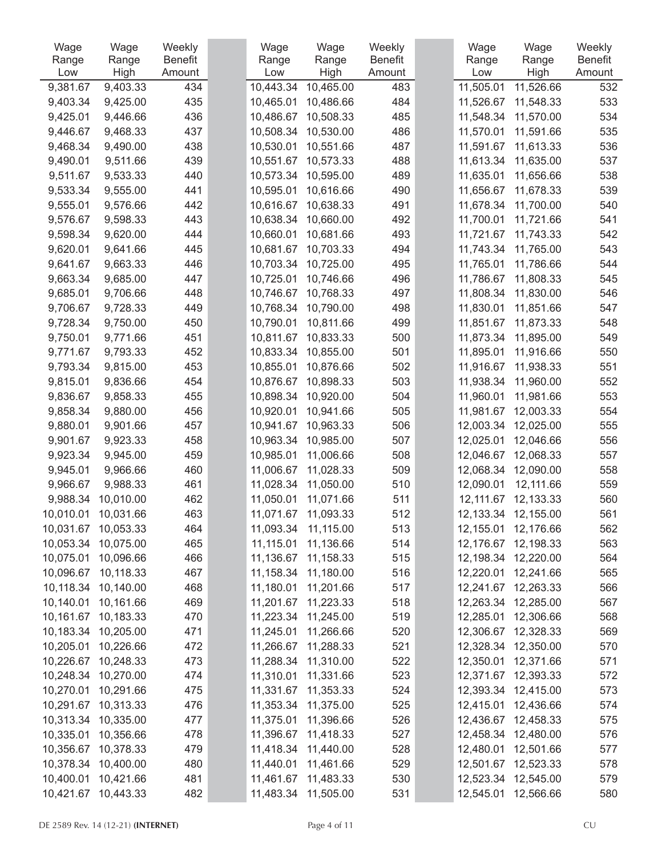| Wage      | Wage      | Weekly         | Wage      | Wage      | Weekly         | Wage      | Wage                | Weekly         |
|-----------|-----------|----------------|-----------|-----------|----------------|-----------|---------------------|----------------|
| Range     | Range     | <b>Benefit</b> | Range     | Range     | <b>Benefit</b> | Range     | Range               | <b>Benefit</b> |
| Low       | High      | Amount         | Low       | High      | Amount         | Low       | High                | Amount         |
| 9,381.67  | 9,403.33  | 434            | 10,443.34 | 10,465.00 | 483            | 11,505.01 | 11,526.66           | 532            |
| 9,403.34  | 9,425.00  | 435            | 10,465.01 | 10,486.66 | 484            | 11,526.67 | 11,548.33           | 533            |
| 9,425.01  | 9,446.66  | 436            | 10,486.67 | 10,508.33 | 485            | 11,548.34 | 11,570.00           | 534            |
| 9,446.67  | 9,468.33  | 437            | 10,508.34 | 10,530.00 | 486            | 11,570.01 | 11,591.66           | 535            |
| 9,468.34  | 9,490.00  | 438            | 10,530.01 | 10,551.66 | 487            | 11,591.67 | 11,613.33           | 536            |
| 9,490.01  | 9,511.66  | 439            | 10,551.67 | 10,573.33 | 488            | 11,613.34 | 11,635.00           | 537            |
| 9,511.67  | 9,533.33  | 440            | 10,573.34 | 10,595.00 | 489            | 11,635.01 | 11,656.66           | 538            |
| 9,533.34  | 9,555.00  | 441            | 10,595.01 | 10,616.66 | 490            | 11,656.67 | 11,678.33           | 539            |
| 9,555.01  | 9,576.66  | 442            | 10,616.67 | 10,638.33 | 491            | 11,678.34 | 11,700.00           | 540            |
| 9,576.67  | 9,598.33  | 443            | 10,638.34 | 10,660.00 | 492            | 11,700.01 | 11,721.66           | 541            |
| 9,598.34  | 9,620.00  | 444            | 10,660.01 | 10,681.66 | 493            | 11,721.67 | 11,743.33           | 542            |
| 9,620.01  | 9,641.66  | 445            | 10,681.67 | 10,703.33 | 494            | 11,743.34 | 11,765.00           | 543            |
| 9,641.67  | 9,663.33  | 446            | 10,703.34 | 10,725.00 | 495            | 11,765.01 | 11,786.66           | 544            |
| 9,663.34  | 9,685.00  | 447            | 10,725.01 | 10,746.66 | 496            | 11,786.67 | 11,808.33           | 545            |
| 9,685.01  | 9,706.66  | 448            | 10,746.67 | 10,768.33 | 497            | 11,808.34 | 11,830.00           | 546            |
| 9,706.67  | 9,728.33  | 449            | 10,768.34 | 10,790.00 | 498            | 11,830.01 | 11,851.66           | 547            |
| 9,728.34  | 9,750.00  | 450            | 10,790.01 | 10,811.66 | 499            | 11,851.67 | 11,873.33           | 548            |
| 9,750.01  | 9,771.66  | 451            | 10,811.67 | 10,833.33 | 500            | 11,873.34 | 11,895.00           | 549            |
| 9,771.67  | 9,793.33  | 452            | 10,833.34 | 10,855.00 | 501            | 11,895.01 | 11,916.66           | 550            |
| 9,793.34  | 9,815.00  | 453            | 10,855.01 | 10,876.66 | 502            | 11,916.67 | 11,938.33           | 551            |
| 9,815.01  | 9,836.66  | 454            | 10,876.67 | 10,898.33 | 503            | 11,938.34 | 11,960.00           | 552            |
| 9,836.67  | 9,858.33  | 455            | 10,898.34 | 10,920.00 | 504            | 11,960.01 | 11,981.66           | 553            |
| 9,858.34  | 9,880.00  | 456            | 10,920.01 | 10,941.66 | 505            | 11,981.67 | 12,003.33           | 554            |
| 9,880.01  | 9,901.66  | 457            | 10,941.67 | 10,963.33 | 506            | 12,003.34 | 12,025.00           | 555            |
| 9,901.67  | 9,923.33  | 458            | 10,963.34 | 10,985.00 | 507            | 12,025.01 | 12,046.66           | 556            |
| 9,923.34  | 9,945.00  | 459            | 10,985.01 | 11,006.66 | 508            | 12,046.67 | 12,068.33           | 557            |
| 9,945.01  | 9,966.66  | 460            | 11,006.67 | 11,028.33 | 509            | 12,068.34 | 12,090.00           | 558            |
| 9,966.67  | 9,988.33  | 461            | 11,028.34 | 11,050.00 | 510            | 12,090.01 | 12,111.66           | 559            |
| 9,988.34  | 10,010.00 | 462            | 11,050.01 | 11,071.66 | 511            | 12,111.67 | 12,133.33           | 560            |
| 10,010.01 | 10,031.66 | 463            | 11,071.67 | 11,093.33 | 512            | 12,133.34 | 12,155.00           | 561            |
| 10,031.67 | 10,053.33 | 464            | 11,093.34 | 11,115.00 | 513            | 12,155.01 | 12,176.66           | 562            |
| 10,053.34 | 10,075.00 | 465            | 11,115.01 | 11,136.66 | 514            | 12,176.67 | 12,198.33           | 563            |
| 10,075.01 | 10,096.66 | 466            | 11,136.67 | 11,158.33 | 515            |           | 12,198.34 12,220.00 | 564            |
| 10,096.67 | 10,118.33 | 467            | 11,158.34 | 11,180.00 | 516            | 12,220.01 | 12,241.66           | 565            |
| 10,118.34 | 10,140.00 | 468            | 11,180.01 | 11,201.66 | 517            | 12,241.67 | 12,263.33           | 566            |
| 10,140.01 | 10,161.66 | 469            | 11,201.67 | 11,223.33 | 518            |           | 12,263.34 12,285.00 | 567            |
| 10,161.67 | 10,183.33 | 470            | 11,223.34 | 11,245.00 | 519            | 12,285.01 | 12,306.66           | 568            |
| 10,183.34 | 10,205.00 | 471            | 11,245.01 | 11,266.66 | 520            | 12,306.67 | 12,328.33           | 569            |
| 10,205.01 | 10,226.66 | 472            | 11,266.67 | 11,288.33 | 521            | 12,328.34 | 12,350.00           | 570            |
| 10,226.67 | 10,248.33 | 473            | 11,288.34 | 11,310.00 | 522            | 12,350.01 | 12,371.66           | 571            |
| 10,248.34 | 10,270.00 | 474            | 11,310.01 | 11,331.66 | 523            | 12,371.67 | 12,393.33           | 572            |
| 10,270.01 | 10,291.66 | 475            | 11,331.67 | 11,353.33 | 524            | 12,393.34 | 12,415.00           | 573            |
| 10,291.67 | 10,313.33 | 476            | 11,353.34 | 11,375.00 | 525            | 12,415.01 | 12,436.66           | 574            |
|           |           |                |           |           |                |           |                     |                |
| 10,313.34 | 10,335.00 | 477            | 11,375.01 | 11,396.66 | 526            |           | 12,436.67 12,458.33 | 575            |
| 10,335.01 | 10,356.66 | 478            | 11,396.67 | 11,418.33 | 527            |           | 12,458.34 12,480.00 | 576            |
| 10,356.67 | 10,378.33 | 479            | 11,418.34 | 11,440.00 | 528            | 12,480.01 | 12,501.66           | 577            |
| 10,378.34 | 10,400.00 | 480            | 11,440.01 | 11,461.66 | 529            | 12,501.67 | 12,523.33           | 578            |
| 10,400.01 | 10,421.66 | 481            | 11,461.67 | 11,483.33 | 530            |           | 12,523.34 12,545.00 | 579            |
| 10,421.67 | 10,443.33 | 482            | 11,483.34 | 11,505.00 | 531            | 12,545.01 | 12,566.66           | 580            |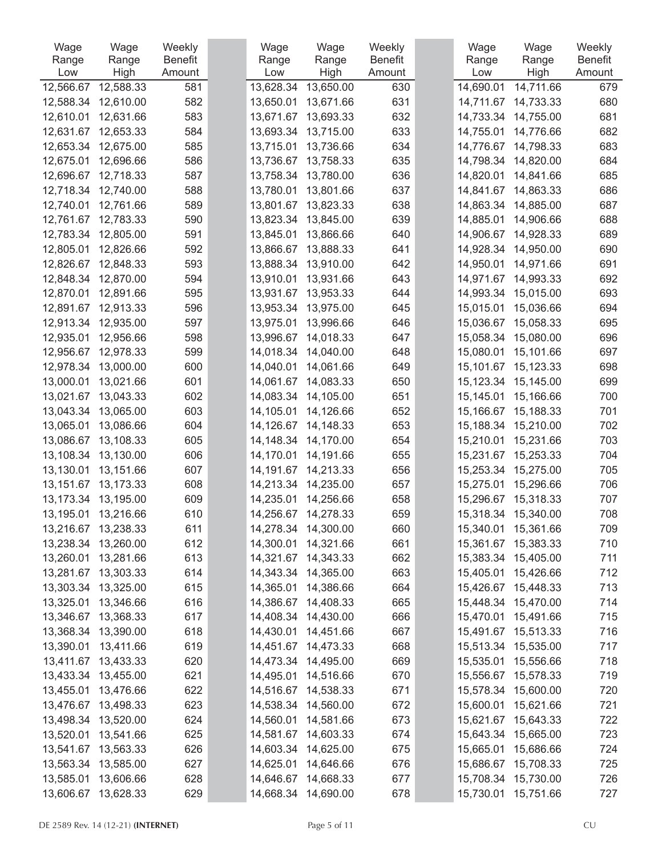| Wage                   | Wage                   | Weekly         | Wage                   | Wage                   | Weekly         | Wage                   | Wage                   | Weekly         |
|------------------------|------------------------|----------------|------------------------|------------------------|----------------|------------------------|------------------------|----------------|
| Range                  | Range                  | <b>Benefit</b> | Range                  | Range                  | <b>Benefit</b> | Range                  | Range                  | <b>Benefit</b> |
| Low                    | High                   | Amount         | Low                    | High                   | Amount         | Low                    | High                   | Amount         |
| 12,566.67              | 12,588.33              | 581            | 13,628.34              | 13,650.00              | 630            | 14,690.01              | 14,711.66              | 679            |
| 12,588.34              | 12,610.00              | 582            | 13,650.01              | 13,671.66              | 631            | 14,711.67              | 14,733.33              | 680            |
| 12,610.01              | 12,631.66              | 583<br>584     | 13,671.67              | 13,693.33              | 632            | 14,733.34              | 14,755.00              | 681            |
| 12,631.67<br>12,653.34 | 12,653.33<br>12,675.00 | 585            | 13,693.34              | 13,715.00<br>13,736.66 | 633<br>634     | 14,755.01<br>14,776.67 | 14,776.66              | 682<br>683     |
| 12,675.01              | 12,696.66              | 586            | 13,715.01<br>13,736.67 | 13,758.33              | 635            | 14,798.34              | 14,798.33<br>14,820.00 | 684            |
| 12,696.67              | 12,718.33              | 587            | 13,758.34              | 13,780.00              | 636            | 14,820.01              | 14,841.66              | 685            |
| 12,718.34              | 12,740.00              | 588            | 13,780.01              | 13,801.66              | 637            | 14,841.67              | 14,863.33              | 686            |
| 12,740.01              | 12,761.66              | 589            | 13,801.67              | 13,823.33              | 638            | 14,863.34              | 14,885.00              | 687            |
| 12,761.67              | 12,783.33              | 590            | 13,823.34              | 13,845.00              | 639            | 14,885.01              | 14,906.66              | 688            |
| 12,783.34              | 12,805.00              | 591            | 13,845.01              | 13,866.66              | 640            | 14,906.67              | 14,928.33              | 689            |
| 12,805.01              | 12,826.66              | 592            | 13,866.67              | 13,888.33              | 641            | 14,928.34              | 14,950.00              | 690            |
| 12,826.67              | 12,848.33              | 593            | 13,888.34              | 13,910.00              | 642            | 14,950.01              | 14,971.66              | 691            |
| 12,848.34              | 12,870.00              | 594            | 13,910.01              | 13,931.66              | 643            | 14,971.67              | 14,993.33              | 692            |
| 12,870.01              | 12,891.66              | 595            | 13,931.67              | 13,953.33              | 644            | 14,993.34              | 15,015.00              | 693            |
| 12,891.67              | 12,913.33              | 596            | 13,953.34              | 13,975.00              | 645            | 15,015.01              | 15,036.66              | 694            |
| 12,913.34              | 12,935.00              | 597            | 13,975.01              | 13,996.66              | 646            | 15,036.67              | 15,058.33              | 695            |
| 12,935.01              | 12,956.66              | 598            | 13,996.67              | 14,018.33              | 647            | 15,058.34              | 15,080.00              | 696            |
| 12,956.67              | 12,978.33              | 599            | 14,018.34              | 14,040.00              | 648            | 15,080.01              | 15,101.66              | 697            |
| 12,978.34              | 13,000.00              | 600            | 14,040.01              | 14,061.66              | 649            | 15,101.67              | 15,123.33              | 698            |
| 13,000.01              | 13,021.66              | 601            | 14,061.67              | 14,083.33              | 650            | 15,123.34              | 15,145.00              | 699            |
| 13,021.67              | 13,043.33              | 602            | 14,083.34              | 14,105.00              | 651            | 15,145.01              | 15,166.66              | 700            |
| 13,043.34              | 13,065.00              | 603            | 14,105.01              | 14,126.66              | 652            | 15,166.67              | 15,188.33              | 701            |
| 13,065.01              | 13,086.66              | 604            | 14,126.67              | 14,148.33              | 653            | 15,188.34              | 15,210.00              | 702            |
| 13,086.67              | 13,108.33              | 605            | 14,148.34              | 14,170.00              | 654            | 15,210.01              | 15,231.66              | 703            |
| 13,108.34              | 13,130.00              | 606            | 14,170.01              | 14,191.66              | 655            | 15,231.67              | 15,253.33              | 704            |
| 13,130.01              | 13,151.66              | 607            | 14,191.67              | 14,213.33              | 656            | 15,253.34              | 15,275.00              | 705            |
| 13,151.67              | 13,173.33              | 608            | 14,213.34              | 14,235.00              | 657            | 15,275.01              | 15,296.66              | 706            |
| 13,173.34              | 13,195.00              | 609            | 14,235.01              | 14,256.66              | 658            | 15,296.67              | 15,318.33              | 707            |
| 13,195.01              | 13,216.66              | 610            | 14,256.67              | 14,278.33              | 659            | 15,318.34              | 15,340.00              | 708            |
|                        | 13,216.67 13,238.33    | 611            | 14,278.34              | 14,300.00              | 660            | 15,340.01              | 15,361.66              | 709            |
|                        | 13,238.34 13,260.00    | 612            | 14,300.01              | 14,321.66              | 661            | 15,361.67              | 15,383.33              | 710            |
|                        | 13,260.01 13,281.66    | 613            |                        | 14,321.67 14,343.33    | 662            | 15,383.34              | 15,405.00              | 711            |
|                        | 13,281.67 13,303.33    | 614            | 14,343.34              | 14,365.00              | 663            | 15,405.01              | 15,426.66              | 712            |
| 13,303.34              | 13,325.00              | 615            | 14,365.01              | 14,386.66              | 664            | 15,426.67              | 15,448.33              | 713            |
| 13,325.01              | 13,346.66              | 616            |                        | 14,386.67 14,408.33    | 665            | 15,448.34              | 15,470.00              | 714            |
| 13,346.67              | 13,368.33              | 617            | 14,408.34              | 14,430.00              | 666            | 15,470.01              | 15,491.66              | 715            |
| 13,368.34              | 13,390.00              | 618            | 14,430.01              | 14,451.66              | 667            | 15,491.67              | 15,513.33              | 716            |
| 13,390.01              | 13,411.66              | 619            | 14,451.67              | 14,473.33              | 668            | 15,513.34              | 15,535.00              | 717            |
|                        | 13,411.67 13,433.33    | 620            | 14,473.34              | 14,495.00              | 669            | 15,535.01              | 15,556.66              | 718            |
|                        | 13,433.34 13,455.00    | 621            | 14,495.01              | 14,516.66              | 670            | 15,556.67              | 15,578.33              | 719            |
| 13,455.01              | 13,476.66              | 622            | 14,516.67              | 14,538.33              | 671            | 15,578.34              | 15,600.00              | 720            |
| 13,476.67              | 13,498.33              | 623            |                        | 14,538.34 14,560.00    | 672            | 15,600.01              | 15,621.66              | 721            |
|                        | 13,498.34 13,520.00    | 624            | 14,560.01              | 14,581.66              | 673            | 15,621.67              | 15,643.33              | 722            |
| 13,520.01              | 13,541.66              | 625            | 14,581.67              | 14,603.33              | 674            | 15,643.34              | 15,665.00              | 723            |
| 13,541.67              | 13,563.33              | 626            | 14,603.34              | 14,625.00              | 675            | 15,665.01              | 15,686.66              | 724            |
| 13,563.34              | 13,585.00              | 627            | 14,625.01              | 14,646.66              | 676            | 15,686.67              | 15,708.33              | 725            |
| 13,585.01              | 13,606.66              | 628            | 14,646.67              | 14,668.33              | 677            | 15,708.34              | 15,730.00              | 726            |
|                        | 13,606.67 13,628.33    | 629            |                        | 14,668.34 14,690.00    | 678            | 15,730.01              | 15,751.66              | 727            |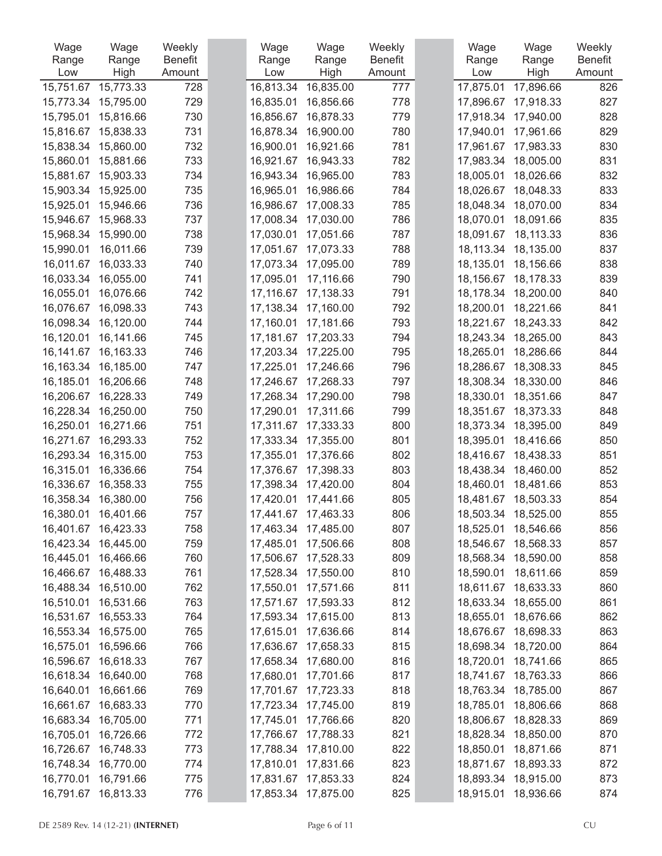| Wage      | Wage      | Weekly         | Wage      | Wage                | Weekly         | Wage      | Wage      | Weekly         |
|-----------|-----------|----------------|-----------|---------------------|----------------|-----------|-----------|----------------|
| Range     | Range     | <b>Benefit</b> | Range     | Range               | <b>Benefit</b> | Range     | Range     | <b>Benefit</b> |
| Low       | High      | Amount         | Low       | High                | Amount         | Low       | High      | Amount         |
| 15,751.67 | 15,773.33 | 728            | 16,813.34 | 16,835.00           | 777            | 17,875.01 | 17,896.66 | 826            |
| 15,773.34 | 15,795.00 | 729            | 16,835.01 | 16,856.66           | 778            | 17,896.67 | 17,918.33 | 827            |
| 15,795.01 | 15,816.66 | 730            | 16,856.67 | 16,878.33           | 779            | 17,918.34 | 17,940.00 | 828            |
| 15,816.67 | 15,838.33 | 731            | 16,878.34 | 16,900.00           | 780            | 17,940.01 | 17,961.66 | 829            |
| 15,838.34 | 15,860.00 | 732            | 16,900.01 | 16,921.66           | 781            | 17,961.67 | 17,983.33 | 830            |
| 15,860.01 | 15,881.66 | 733            | 16,921.67 | 16,943.33           | 782            | 17,983.34 | 18,005.00 | 831            |
| 15,881.67 | 15,903.33 | 734            | 16,943.34 | 16,965.00           | 783            | 18,005.01 | 18,026.66 | 832            |
| 15,903.34 | 15,925.00 | 735            | 16,965.01 | 16,986.66           | 784            | 18,026.67 | 18,048.33 | 833            |
| 15,925.01 | 15,946.66 | 736            | 16,986.67 | 17,008.33           | 785            | 18,048.34 | 18,070.00 | 834            |
| 15,946.67 | 15,968.33 | 737            | 17,008.34 | 17,030.00           | 786            | 18,070.01 | 18,091.66 | 835            |
| 15,968.34 | 15,990.00 | 738            | 17,030.01 | 17,051.66           | 787            | 18,091.67 | 18,113.33 | 836            |
| 15,990.01 | 16,011.66 | 739            | 17,051.67 | 17,073.33           | 788            | 18,113.34 | 18,135.00 | 837            |
| 16,011.67 | 16,033.33 | 740            | 17,073.34 | 17,095.00           | 789            | 18,135.01 | 18,156.66 | 838            |
| 16,033.34 | 16,055.00 | 741            | 17,095.01 | 17,116.66           | 790            | 18,156.67 | 18,178.33 | 839            |
| 16,055.01 | 16,076.66 | 742            | 17,116.67 | 17,138.33           | 791            | 18,178.34 | 18,200.00 | 840            |
| 16,076.67 | 16,098.33 | 743            | 17,138.34 | 17,160.00           | 792            | 18,200.01 | 18,221.66 | 841            |
| 16,098.34 | 16,120.00 | 744            | 17,160.01 | 17,181.66           | 793            | 18,221.67 | 18,243.33 | 842            |
| 16,120.01 | 16,141.66 | 745            | 17,181.67 | 17,203.33           | 794            | 18,243.34 | 18,265.00 | 843            |
| 16,141.67 | 16,163.33 | 746            | 17,203.34 | 17,225.00           | 795            | 18,265.01 | 18,286.66 | 844            |
| 16,163.34 | 16,185.00 | 747            | 17,225.01 | 17,246.66           | 796            | 18,286.67 | 18,308.33 | 845            |
| 16,185.01 | 16,206.66 | 748            | 17,246.67 | 17,268.33           | 797            | 18,308.34 | 18,330.00 | 846            |
| 16,206.67 | 16,228.33 | 749            | 17,268.34 | 17,290.00           | 798            | 18,330.01 | 18,351.66 | 847            |
| 16,228.34 | 16,250.00 | 750            | 17,290.01 | 17,311.66           | 799            | 18,351.67 | 18,373.33 | 848            |
| 16,250.01 | 16,271.66 | 751            | 17,311.67 | 17,333.33           | 800            | 18,373.34 | 18,395.00 | 849            |
| 16,271.67 | 16,293.33 | 752            | 17,333.34 | 17,355.00           | 801            | 18,395.01 | 18,416.66 | 850            |
| 16,293.34 | 16,315.00 | 753            | 17,355.01 | 17,376.66           | 802            | 18,416.67 | 18,438.33 | 851            |
| 16,315.01 | 16,336.66 | 754            | 17,376.67 | 17,398.33           | 803            | 18,438.34 | 18,460.00 | 852            |
| 16,336.67 | 16,358.33 | 755            | 17,398.34 | 17,420.00           | 804            | 18,460.01 | 18,481.66 | 853            |
| 16,358.34 | 16,380.00 | 756            | 17,420.01 | 17,441.66           | 805            | 18,481.67 | 18,503.33 | 854            |
| 16,380.01 | 16,401.66 | 757            | 17,441.67 | 17,463.33           | 806            | 18,503.34 | 18,525.00 | 855            |
| 16,401.67 | 16,423.33 | 758            | 17,463.34 | 17,485.00           | 807            | 18,525.01 | 18,546.66 | 856            |
| 16,423.34 | 16,445.00 | 759            | 17,485.01 | 17,506.66           | 808            | 18,546.67 | 18,568.33 | 857            |
| 16,445.01 | 16,466.66 | 760            | 17,506.67 | 17,528.33           | 809            | 18,568.34 | 18,590.00 | 858            |
| 16,466.67 | 16,488.33 | 761            | 17,528.34 | 17,550.00           | 810            | 18,590.01 | 18,611.66 | 859            |
| 16,488.34 | 16,510.00 | 762            | 17,550.01 | 17,571.66           | 811            | 18,611.67 | 18,633.33 | 860            |
| 16,510.01 | 16,531.66 | 763            | 17,571.67 | 17,593.33           | 812            | 18,633.34 | 18,655.00 | 861            |
| 16,531.67 | 16,553.33 | 764            | 17,593.34 | 17,615.00           | 813            | 18,655.01 | 18,676.66 | 862            |
| 16,553.34 | 16,575.00 | 765            | 17,615.01 | 17,636.66           | 814            | 18,676.67 | 18,698.33 | 863            |
| 16,575.01 | 16,596.66 | 766            | 17,636.67 | 17,658.33           | 815            | 18,698.34 | 18,720.00 | 864            |
| 16,596.67 | 16,618.33 | 767            | 17,658.34 | 17,680.00           | 816            | 18,720.01 | 18,741.66 | 865            |
| 16,618.34 | 16,640.00 | 768            | 17,680.01 | 17,701.66           | 817            | 18,741.67 | 18,763.33 | 866            |
| 16,640.01 | 16,661.66 | 769            | 17,701.67 | 17,723.33           | 818            | 18,763.34 | 18,785.00 | 867            |
| 16,661.67 | 16,683.33 | 770            | 17,723.34 | 17,745.00           | 819            | 18,785.01 | 18,806.66 | 868            |
| 16,683.34 | 16,705.00 | 771            | 17,745.01 | 17,766.66           |                | 18,806.67 | 18,828.33 | 869            |
| 16,705.01 | 16,726.66 | 772            | 17,766.67 | 17,788.33           | 820<br>821     | 18,828.34 | 18,850.00 | 870            |
| 16,726.67 | 16,748.33 | 773            | 17,788.34 | 17,810.00           | 822            | 18,850.01 | 18,871.66 | 871            |
| 16,748.34 | 16,770.00 | 774            |           |                     | 823            | 18,871.67 |           | 872            |
|           |           |                | 17,810.01 | 17,831.66           |                |           | 18,893.33 |                |
| 16,770.01 | 16,791.66 | 775            | 17,831.67 | 17,853.33           | 824            | 18,893.34 | 18,915.00 | 873            |
| 16,791.67 | 16,813.33 | 776            |           | 17,853.34 17,875.00 | 825            | 18,915.01 | 18,936.66 | 874            |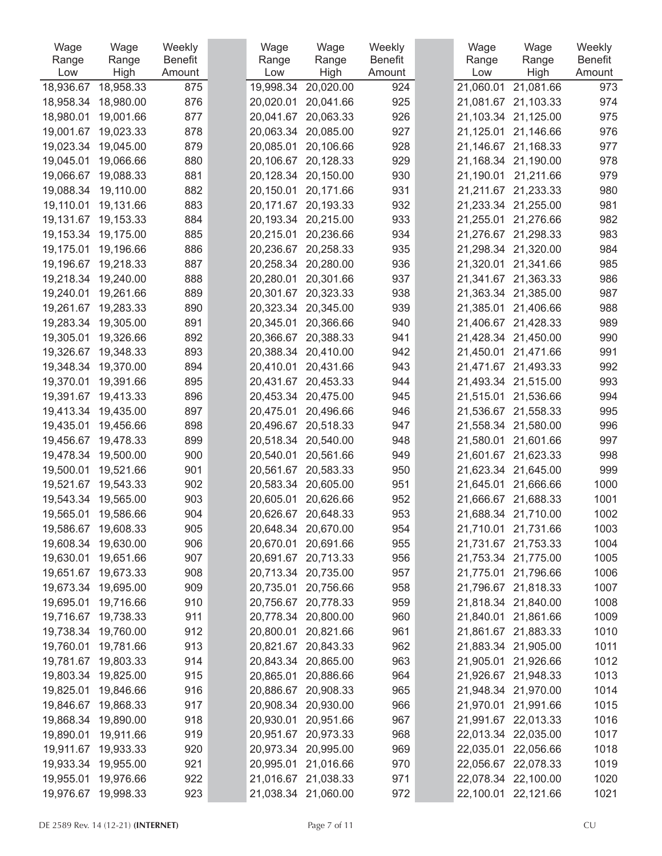| Wage      | Wage                | Weekly         | Wage      | Wage                | Weekly         | Wage      | Wage                | Weekly         |
|-----------|---------------------|----------------|-----------|---------------------|----------------|-----------|---------------------|----------------|
| Range     | Range               | <b>Benefit</b> | Range     | Range               | <b>Benefit</b> | Range     | Range               | <b>Benefit</b> |
| Low       | High                | Amount         | Low       | High                | Amount         | Low       | High                | Amount         |
| 18,936.67 | 18,958.33           | 875            | 19,998.34 | 20,020.00           | 924            | 21,060.01 | 21,081.66           | 973            |
| 18,958.34 | 18,980.00           | 876            | 20,020.01 | 20,041.66           | 925            | 21,081.67 | 21,103.33           | 974            |
| 18,980.01 | 19,001.66           | 877            | 20,041.67 | 20,063.33           | 926            | 21,103.34 | 21,125.00           | 975            |
| 19,001.67 | 19,023.33           | 878            | 20,063.34 | 20,085.00           | 927            | 21,125.01 | 21,146.66           | 976            |
| 19,023.34 | 19,045.00           | 879            | 20,085.01 | 20,106.66           | 928            | 21,146.67 | 21,168.33           | 977            |
| 19,045.01 | 19,066.66           | 880            | 20,106.67 | 20,128.33           | 929            | 21,168.34 | 21,190.00           | 978            |
| 19,066.67 | 19,088.33           | 881            | 20,128.34 | 20,150.00           | 930            | 21,190.01 | 21,211.66           | 979            |
| 19,088.34 | 19,110.00           | 882            | 20,150.01 | 20,171.66           | 931            | 21,211.67 | 21,233.33           | 980            |
| 19,110.01 | 19,131.66           | 883            | 20,171.67 | 20,193.33           | 932            | 21,233.34 | 21,255.00           | 981            |
| 19,131.67 | 19,153.33           | 884            | 20,193.34 | 20,215.00           | 933            | 21,255.01 | 21,276.66           | 982            |
| 19,153.34 | 19,175.00           | 885            | 20,215.01 | 20,236.66           | 934            | 21,276.67 | 21,298.33           | 983            |
| 19,175.01 | 19,196.66           | 886            | 20,236.67 | 20,258.33           | 935            | 21,298.34 | 21,320.00           | 984            |
| 19,196.67 | 19,218.33           | 887            | 20,258.34 | 20,280.00           | 936            | 21,320.01 | 21,341.66           | 985            |
| 19,218.34 | 19,240.00           | 888            | 20,280.01 | 20,301.66           | 937            | 21,341.67 | 21,363.33           | 986            |
| 19,240.01 | 19,261.66           | 889            | 20,301.67 | 20,323.33           | 938            |           | 21,363.34 21,385.00 | 987            |
| 19,261.67 | 19,283.33           | 890            | 20,323.34 | 20,345.00           | 939            | 21,385.01 | 21,406.66           | 988            |
| 19,283.34 | 19,305.00           | 891            | 20,345.01 | 20,366.66           | 940            | 21,406.67 | 21,428.33           | 989            |
| 19,305.01 | 19,326.66           | 892            | 20,366.67 | 20,388.33           | 941            | 21,428.34 | 21,450.00           | 990            |
| 19,326.67 | 19,348.33           | 893            | 20,388.34 | 20,410.00           | 942            | 21,450.01 | 21,471.66           | 991            |
| 19,348.34 | 19,370.00           | 894            | 20,410.01 | 20,431.66           | 943            | 21,471.67 | 21,493.33           | 992            |
| 19,370.01 | 19,391.66           | 895            | 20,431.67 | 20,453.33           | 944            | 21,493.34 | 21,515.00           | 993            |
| 19,391.67 | 19,413.33           | 896            | 20,453.34 | 20,475.00           | 945            | 21,515.01 | 21,536.66           | 994            |
| 19,413.34 | 19,435.00           | 897            | 20,475.01 | 20,496.66           | 946            | 21,536.67 | 21,558.33           | 995            |
| 19,435.01 | 19,456.66           | 898            | 20,496.67 | 20,518.33           | 947            | 21,558.34 | 21,580.00           | 996            |
| 19,456.67 | 19,478.33           | 899            | 20,518.34 | 20,540.00           | 948            | 21,580.01 | 21,601.66           | 997            |
| 19,478.34 | 19,500.00           | 900            | 20,540.01 | 20,561.66           | 949            | 21,601.67 | 21,623.33           | 998            |
| 19,500.01 | 19,521.66           | 901            | 20,561.67 | 20,583.33           | 950            | 21,623.34 | 21,645.00           | 999            |
| 19,521.67 | 19,543.33           | 902            | 20,583.34 | 20,605.00           | 951            | 21,645.01 | 21,666.66           | 1000           |
| 19,543.34 | 19,565.00           | 903            | 20,605.01 | 20,626.66           | 952            | 21,666.67 | 21,688.33           | 1001           |
| 19,565.01 | 19,586.66           | 904            | 20,626.67 | 20,648.33           | 953            |           | 21,688.34 21,710.00 | 1002           |
| 19,586.67 | 19,608.33           | 905            |           | 20,648.34 20,670.00 | 954            | 21,710.01 | 21,731.66           | 1003           |
|           | 19,608.34 19,630.00 | 906            |           | 20,670.01 20,691.66 | 955            |           | 21,731.67 21,753.33 | 1004           |
|           | 19,630.01 19,651.66 | 907            |           | 20,691.67 20,713.33 | 956            |           | 21,753.34 21,775.00 | 1005           |
|           | 19,651.67 19,673.33 | 908            |           | 20,713.34 20,735.00 | 957            | 21,775.01 | 21,796.66           | 1006           |
| 19,673.34 | 19,695.00           | 909            | 20,735.01 | 20,756.66           | 958            | 21,796.67 | 21,818.33           | 1007           |
| 19,695.01 | 19,716.66           | 910            |           | 20,756.67 20,778.33 | 959            |           | 21,818.34 21,840.00 | 1008           |
|           | 19,716.67 19,738.33 | 911            |           | 20,778.34 20,800.00 | 960            |           | 21,840.01 21,861.66 | 1009           |
| 19,738.34 | 19,760.00           | 912            | 20,800.01 | 20,821.66           | 961            | 21,861.67 | 21,883.33           | 1010           |
| 19,760.01 | 19,781.66           | 913            | 20,821.67 | 20,843.33           | 962            |           | 21,883.34 21,905.00 | 1011           |
|           | 19,781.67 19,803.33 | 914            |           | 20,843.34 20,865.00 | 963            |           | 21,905.01 21,926.66 | 1012           |
|           | 19,803.34 19,825.00 | 915            | 20,865.01 | 20,886.66           | 964            |           | 21,926.67 21,948.33 | 1013           |
| 19,825.01 | 19,846.66           | 916            |           | 20,886.67 20,908.33 | 965            |           | 21,948.34 21,970.00 | 1014           |
| 19,846.67 | 19,868.33           | 917            |           | 20,908.34 20,930.00 | 966            |           | 21,970.01 21,991.66 | 1015           |
|           | 19,868.34 19,890.00 | 918            |           | 20,930.01 20,951.66 | 967            |           | 21,991.67 22,013.33 | 1016           |
| 19,890.01 | 19,911.66           | 919            |           | 20,951.67 20,973.33 | 968            |           | 22,013.34 22,035.00 | 1017           |
| 19,911.67 | 19,933.33           | 920            |           | 20,973.34 20,995.00 | 969            | 22,035.01 | 22,056.66           | 1018           |
| 19,933.34 | 19,955.00           | 921            | 20,995.01 | 21,016.66           | 970            |           | 22,056.67 22,078.33 | 1019           |
|           | 19,955.01 19,976.66 | 922            |           | 21,016.67 21,038.33 | 971            |           | 22,078.34 22,100.00 | 1020           |
|           | 19,976.67 19,998.33 | 923            |           | 21,038.34 21,060.00 | 972            |           | 22,100.01 22,121.66 | 1021           |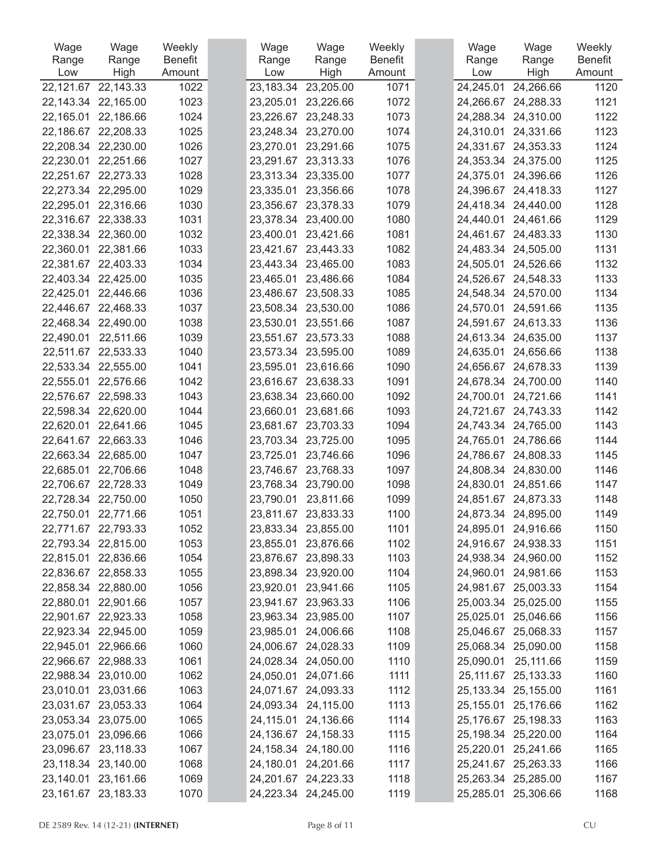| Wage             | Wage                    | Weekly         | Wage             | Wage                | Weekly                   | Wage             | Wage                  | Weekly         |
|------------------|-------------------------|----------------|------------------|---------------------|--------------------------|------------------|-----------------------|----------------|
| Range            | Range                   | <b>Benefit</b> | Range            | Range               | <b>Benefit</b><br>Amount | Range            | Range                 | <b>Benefit</b> |
| Low<br>22,121.67 | High<br>22,143.33       | Amount<br>1022 | Low<br>23,183.34 | High<br>23,205.00   | 1071                     | Low<br>24,245.01 | High<br>24,266.66     | Amount<br>1120 |
|                  | 22,143.34 22,165.00     | 1023           | 23,205.01        | 23,226.66           | 1072                     | 24,266.67        | 24,288.33             | 1121           |
| 22,165.01        | 22,186.66               | 1024           | 23,226.67        | 23,248.33           | 1073                     | 24,288.34        | 24,310.00             | 1122           |
| 22,186.67        | 22,208.33               | 1025           | 23,248.34        | 23,270.00           | 1074                     | 24,310.01        | 24,331.66             | 1123           |
| 22,208.34        | 22,230.00               | 1026           | 23,270.01        | 23,291.66           | 1075                     | 24,331.67        | 24,353.33             | 1124           |
| 22,230.01        | 22,251.66               | 1027           |                  | 23,291.67 23,313.33 | 1076                     | 24,353.34        | 24,375.00             | 1125           |
| 22,251.67        | 22,273.33               | 1028           |                  | 23,313.34 23,335.00 | 1077                     | 24,375.01        | 24,396.66             | 1126           |
| 22,273.34        | 22,295.00               | 1029           | 23,335.01        | 23,356.66           | 1078                     | 24,396.67        | 24,418.33             | 1127           |
| 22,295.01        | 22,316.66               | 1030           | 23,356.67        | 23,378.33           | 1079                     | 24,418.34        | 24,440.00             | 1128           |
|                  | 22,316.67 22,338.33     | 1031           |                  | 23,378.34 23,400.00 | 1080                     | 24,440.01        | 24,461.66             | 1129           |
|                  | 22,338.34 22,360.00     | 1032           | 23,400.01        | 23,421.66           | 1081                     | 24,461.67        | 24,483.33             | 1130           |
| 22,360.01        | 22,381.66               | 1033           | 23,421.67        | 23,443.33           | 1082                     | 24,483.34        | 24,505.00             | 1131           |
| 22,381.67        | 22,403.33               | 1034           |                  | 23,443.34 23,465.00 | 1083                     | 24,505.01        | 24,526.66             | 1132           |
|                  | 22,403.34 22,425.00     | 1035           | 23,465.01        | 23,486.66           | 1084                     | 24,526.67        | 24,548.33             | 1133           |
| 22,425.01        | 22,446.66               | 1036           |                  | 23,486.67 23,508.33 | 1085                     | 24,548.34        | 24,570.00             | 1134           |
| 22,446.67        | 22,468.33               | 1037           | 23,508.34        | 23,530.00           | 1086                     | 24,570.01        | 24,591.66             | 1135           |
|                  | 22,468.34 22,490.00     | 1038           | 23,530.01        | 23,551.66           | 1087                     | 24,591.67        | 24,613.33             | 1136           |
| 22,490.01        | 22,511.66               | 1039           |                  | 23,551.67 23,573.33 | 1088                     | 24,613.34        | 24,635.00             | 1137           |
| 22,511.67        | 22,533.33               | 1040           | 23,573.34        | 23,595.00           | 1089                     | 24,635.01        | 24,656.66             | 1138           |
| 22,533.34        | 22,555.00               | 1041           | 23,595.01        | 23,616.66           | 1090                     | 24,656.67        | 24,678.33             | 1139           |
| 22,555.01        | 22,576.66               | 1042           |                  | 23,616.67 23,638.33 | 1091                     | 24,678.34        | 24,700.00             | 1140           |
| 22,576.67        | 22,598.33               | 1043           |                  | 23,638.34 23,660.00 | 1092                     | 24,700.01        | 24,721.66             | 1141           |
| 22,598.34        | 22,620.00               | 1044           | 23,660.01        | 23,681.66           | 1093                     | 24,721.67        | 24,743.33             | 1142           |
| 22,620.01        | 22,641.66               | 1045           | 23,681.67        | 23,703.33           | 1094                     | 24,743.34        | 24,765.00             | 1143           |
| 22,641.67        | 22,663.33               | 1046           | 23,703.34        | 23,725.00           | 1095                     | 24,765.01        | 24,786.66             | 1144           |
| 22,663.34        | 22,685.00               | 1047           | 23,725.01        | 23,746.66           | 1096                     | 24,786.67        | 24,808.33             | 1145           |
| 22,685.01        | 22,706.66               | 1048           | 23,746.67        | 23,768.33           | 1097                     | 24,808.34        | 24,830.00             | 1146           |
| 22,706.67        | 22,728.33               | 1049           | 23,768.34        | 23,790.00           | 1098                     | 24,830.01        | 24,851.66             | 1147           |
|                  | 22,728.34 22,750.00     | 1050           | 23,790.01        | 23,811.66           | 1099                     | 24,851.67        | 24,873.33             | 1148           |
| 22,750.01        | 22,771.66               | 1051           |                  | 23,811.67 23,833.33 | 1100                     |                  | 24,873.34 24,895.00   | 1149           |
|                  | 22,771.67 22,793.33     | 1052           |                  | 23,833.34 23,855.00 | 1101                     |                  | 24,895.01 24,916.66   | 1150           |
|                  | 22,793.34 22,815.00     | 1053           |                  | 23,855.01 23,876.66 | 1102                     |                  | 24,916.67 24,938.33   | 1151           |
|                  | 22,815.01 22,836.66     | 1054           |                  | 23,876.67 23,898.33 | 1103                     |                  | 24,938.34 24,960.00   | 1152           |
|                  | 22,836.67 22,858.33     | 1055           |                  | 23,898.34 23,920.00 | 1104                     |                  | 24,960.01 24,981.66   | 1153           |
|                  | 22,858.34 22,880.00     | 1056           |                  | 23,920.01 23,941.66 | 1105                     |                  | 24,981.67 25,003.33   | 1154           |
|                  | 22,880.01 22,901.66     | 1057           |                  | 23,941.67 23,963.33 | 1106                     |                  | 25,003.34 25,025.00   | 1155           |
|                  | 22,901.67 22,923.33     | 1058           |                  | 23,963.34 23,985.00 | 1107                     |                  | 25,025.01 25,046.66   | 1156           |
|                  | 22,923.34 22,945.00     | 1059           |                  | 23,985.01 24,006.66 | 1108                     | 25,046.67        | 25,068.33             | 1157           |
|                  | 22,945.01 22,966.66     | 1060           |                  | 24,006.67 24,028.33 | 1109                     |                  | 25,068.34 25,090.00   | 1158           |
|                  | 22,966.67 22,988.33     | 1061           |                  | 24,028.34 24,050.00 | 1110                     | 25,090.01        | 25,111.66             | 1159           |
|                  | 22,988.34 23,010.00     | 1062           |                  | 24,050.01 24,071.66 | 1111                     |                  | 25, 111.67 25, 133.33 | 1160           |
|                  | 23,010.01 23,031.66     | 1063           |                  | 24,071.67 24,093.33 | 1112                     | 25,133.34        | 25,155.00             | 1161           |
|                  | 23,031.67 23,053.33     | 1064           |                  | 24,093.34 24,115.00 | 1113                     | 25,155.01        | 25,176.66             | 1162           |
|                  | 23,053.34 23,075.00     | 1065           |                  | 24,115.01 24,136.66 | 1114                     |                  | 25,176.67 25,198.33   | 1163           |
|                  | 23,075.01 23,096.66     | 1066           |                  | 24,136.67 24,158.33 | 1115                     |                  | 25,198.34 25,220.00   | 1164           |
| 23,096.67        | 23,118.33               | 1067           |                  | 24,158.34 24,180.00 | 1116                     | 25,220.01        | 25,241.66             | 1165           |
|                  | 23,118.34 23,140.00     | 1068           |                  | 24,180.01 24,201.66 | 1117                     |                  | 25,241.67 25,263.33   | 1166           |
|                  | 23,140.01 23,161.66     | 1069           |                  | 24,201.67 24,223.33 | 1118                     |                  | 25,263.34 25,285.00   | 1167           |
|                  | 23, 161. 67 23, 183. 33 | 1070           |                  | 24,223.34 24,245.00 | 1119                     |                  | 25,285.01 25,306.66   | 1168           |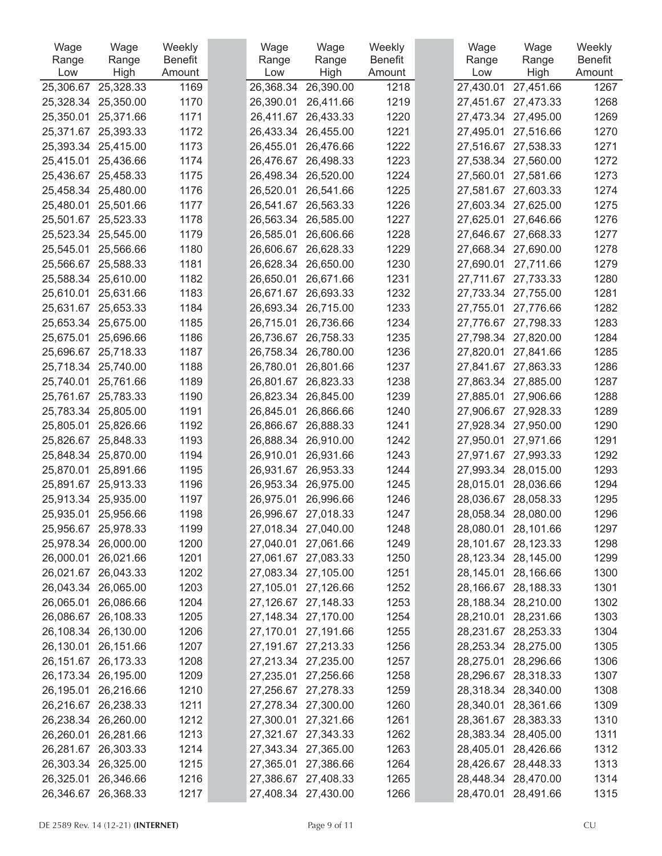| Wage      | Wage                  | Weekly         | Wage      | Wage                | Weekly         | Wage      | Wage                | Weekly         |
|-----------|-----------------------|----------------|-----------|---------------------|----------------|-----------|---------------------|----------------|
| Range     | Range                 | <b>Benefit</b> | Range     | Range               | <b>Benefit</b> | Range     | Range               | <b>Benefit</b> |
| Low       | High                  | Amount         | Low       | High                | Amount         | Low       | High                | Amount         |
| 25,306.67 | 25,328.33             | 1169           | 26,368.34 | 26,390.00           | 1218           | 27,430.01 | 27,451.66           | 1267           |
| 25,328.34 | 25,350.00             | 1170           | 26,390.01 | 26,411.66           | 1219           | 27,451.67 | 27,473.33           | 1268           |
| 25,350.01 | 25,371.66             | 1171           | 26,411.67 | 26,433.33           | 1220           | 27,473.34 | 27,495.00           | 1269           |
| 25,371.67 | 25,393.33             | 1172           | 26,433.34 | 26,455.00           | 1221           | 27,495.01 | 27,516.66           | 1270           |
| 25,393.34 | 25,415.00             | 1173           | 26,455.01 | 26,476.66           | 1222           | 27,516.67 | 27,538.33           | 1271           |
| 25,415.01 | 25,436.66             | 1174           | 26,476.67 | 26,498.33           | 1223           | 27,538.34 | 27,560.00           | 1272           |
| 25,436.67 | 25,458.33             | 1175           |           | 26,498.34 26,520.00 | 1224           | 27,560.01 | 27,581.66           | 1273           |
| 25,458.34 | 25,480.00             | 1176           | 26,520.01 | 26,541.66           | 1225           | 27,581.67 | 27,603.33           | 1274           |
| 25,480.01 | 25,501.66             | 1177           | 26,541.67 | 26,563.33           | 1226           | 27,603.34 | 27,625.00           | 1275           |
| 25,501.67 | 25,523.33             | 1178           | 26,563.34 | 26,585.00           | 1227           | 27,625.01 | 27,646.66           | 1276           |
| 25,523.34 | 25,545.00             | 1179           | 26,585.01 | 26,606.66           | 1228           | 27,646.67 | 27,668.33           | 1277           |
| 25,545.01 | 25,566.66             | 1180           | 26,606.67 | 26,628.33           | 1229           | 27,668.34 | 27,690.00           | 1278           |
| 25,566.67 | 25,588.33             | 1181           | 26,628.34 | 26,650.00           | 1230           | 27,690.01 | 27,711.66           | 1279           |
| 25,588.34 | 25,610.00             | 1182           | 26,650.01 | 26,671.66           | 1231           | 27,711.67 | 27,733.33           | 1280           |
| 25,610.01 | 25,631.66             | 1183           | 26,671.67 | 26,693.33           | 1232           | 27,733.34 | 27,755.00           | 1281           |
| 25,631.67 | 25,653.33             | 1184           | 26,693.34 | 26,715.00           | 1233           | 27,755.01 | 27,776.66           | 1282           |
| 25,653.34 | 25,675.00             | 1185           | 26,715.01 | 26,736.66           | 1234           | 27,776.67 | 27,798.33           | 1283           |
| 25,675.01 | 25,696.66             | 1186           | 26,736.67 | 26,758.33           | 1235           | 27,798.34 | 27,820.00           | 1284           |
| 25,696.67 | 25,718.33             | 1187           | 26,758.34 | 26,780.00           | 1236           | 27,820.01 | 27,841.66           | 1285           |
| 25,718.34 | 25,740.00             | 1188           | 26,780.01 | 26,801.66           | 1237           | 27,841.67 | 27,863.33           | 1286           |
| 25,740.01 | 25,761.66             | 1189           | 26,801.67 | 26,823.33           | 1238           | 27,863.34 | 27,885.00           | 1287           |
| 25,761.67 | 25,783.33             | 1190           |           | 26,823.34 26,845.00 | 1239           | 27,885.01 | 27,906.66           | 1288           |
| 25,783.34 | 25,805.00             | 1191           | 26,845.01 | 26,866.66           | 1240           | 27,906.67 | 27,928.33           | 1289           |
| 25,805.01 | 25,826.66             | 1192           | 26,866.67 | 26,888.33           | 1241           | 27,928.34 | 27,950.00           | 1290           |
| 25,826.67 | 25,848.33             | 1193           | 26,888.34 | 26,910.00           | 1242           | 27,950.01 | 27,971.66           | 1291           |
| 25,848.34 | 25,870.00             | 1194           | 26,910.01 | 26,931.66           | 1243           | 27,971.67 | 27,993.33           | 1292           |
| 25,870.01 | 25,891.66             | 1195           | 26,931.67 | 26,953.33           | 1244           | 27,993.34 | 28,015.00           | 1293           |
| 25,891.67 | 25,913.33             | 1196           | 26,953.34 | 26,975.00           | 1245           | 28,015.01 | 28,036.66           | 1294           |
| 25,913.34 | 25,935.00             | 1197           | 26,975.01 | 26,996.66           | 1246           | 28,036.67 | 28,058.33           | 1295           |
| 25,935.01 | 25,956.66             | 1198           |           | 26,996.67 27,018.33 | 1247           | 28,058.34 | 28,080.00           | 1296           |
| 25,956.67 | 25,978.33             | 1199           |           | 27,018.34 27,040.00 | 1248           | 28,080.01 | 28,101.66           | 1297           |
|           | 25,978.34 26,000.00   | 1200           |           | 27,040.01 27,061.66 | 1249           |           | 28,101.67 28,123.33 | 1298           |
|           | 26,000.01 26,021.66   | 1201           |           | 27,061.67 27,083.33 | 1250           |           | 28,123.34 28,145.00 | 1299           |
|           | 26,021.67 26,043.33   | 1202           |           | 27,083.34 27,105.00 | 1251           | 28,145.01 | 28,166.66           | 1300           |
| 26,043.34 | 26,065.00             | 1203           |           | 27,105.01 27,126.66 | 1252           | 28,166.67 | 28,188.33           | 1301           |
|           | 26,065.01 26,086.66   | 1204           |           | 27,126.67 27,148.33 | 1253           |           | 28,188.34 28,210.00 | 1302           |
|           | 26,086.67 26,108.33   | 1205           |           | 27,148.34 27,170.00 | 1254           | 28,210.01 | 28,231.66           | 1303           |
| 26,108.34 | 26,130.00             | 1206           |           | 27,170.01 27,191.66 | 1255           | 28,231.67 | 28,253.33           | 1304           |
| 26,130.01 | 26,151.66             | 1207           |           | 27,191.67 27,213.33 | 1256           | 28,253.34 | 28,275.00           | 1305           |
|           | 26, 151.67 26, 173.33 | 1208           |           | 27,213.34 27,235.00 | 1257           | 28,275.01 | 28,296.66           | 1306           |
|           | 26,173.34 26,195.00   | 1209           |           | 27,235.01 27,256.66 | 1258           | 28,296.67 | 28,318.33           | 1307           |
| 26,195.01 | 26,216.66             | 1210           |           | 27,256.67 27,278.33 | 1259           | 28,318.34 | 28,340.00           | 1308           |
|           | 26,216.67 26,238.33   | 1211           |           | 27,278.34 27,300.00 | 1260           | 28,340.01 | 28,361.66           | 1309           |
|           | 26,238.34 26,260.00   | 1212           |           | 27,300.01 27,321.66 | 1261           | 28,361.67 | 28,383.33           | 1310           |
| 26,260.01 | 26,281.66             | 1213           |           | 27,321.67 27,343.33 | 1262           | 28,383.34 | 28,405.00           | 1311           |
| 26,281.67 | 26,303.33             | 1214           |           | 27,343.34 27,365.00 | 1263           | 28,405.01 | 28,426.66           | 1312           |
|           | 26,303.34 26,325.00   | 1215           |           | 27,365.01 27,386.66 | 1264           |           | 28,426.67 28,448.33 | 1313           |
|           | 26,325.01 26,346.66   | 1216           |           | 27,386.67 27,408.33 | 1265           |           | 28,448.34 28,470.00 | 1314           |
|           | 26,346.67 26,368.33   | 1217           |           | 27,408.34 27,430.00 | 1266           |           | 28,470.01 28,491.66 | 1315           |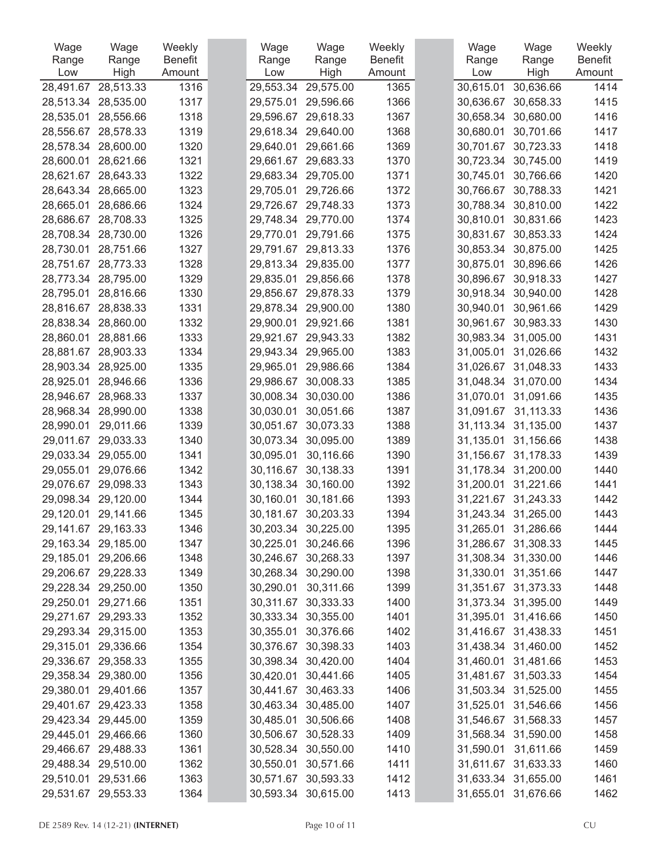| Wage      | Wage                | Weekly  | Wage      | Wage                | Weekly         | Wage      | Wage                | Weekly         |
|-----------|---------------------|---------|-----------|---------------------|----------------|-----------|---------------------|----------------|
| Range     | Range               | Benefit | Range     | Range               | <b>Benefit</b> | Range     | Range               | <b>Benefit</b> |
| Low       | High                | Amount  | Low       | High                | Amount         | Low       | High                | Amount         |
| 28,491.67 | 28,513.33           | 1316    | 29,553.34 | 29,575.00           | 1365           | 30,615.01 | 30,636.66           | 1414           |
| 28,513.34 | 28,535.00           | 1317    | 29,575.01 | 29,596.66           | 1366           | 30,636.67 | 30,658.33           | 1415           |
| 28,535.01 | 28,556.66           | 1318    | 29,596.67 | 29,618.33           | 1367           | 30,658.34 | 30,680.00           | 1416           |
| 28,556.67 | 28,578.33           | 1319    | 29,618.34 | 29,640.00           | 1368           | 30,680.01 | 30,701.66           | 1417           |
| 28,578.34 | 28,600.00           | 1320    | 29,640.01 | 29,661.66           | 1369           | 30,701.67 | 30,723.33           | 1418           |
| 28,600.01 | 28,621.66           | 1321    | 29,661.67 | 29,683.33           | 1370           | 30,723.34 | 30,745.00           | 1419           |
| 28,621.67 | 28,643.33           | 1322    | 29,683.34 | 29,705.00           | 1371           | 30,745.01 | 30,766.66           | 1420           |
| 28,643.34 | 28,665.00           | 1323    | 29,705.01 | 29,726.66           | 1372           | 30,766.67 | 30,788.33           | 1421           |
| 28,665.01 | 28,686.66           | 1324    | 29,726.67 | 29,748.33           | 1373           | 30,788.34 | 30,810.00           | 1422           |
| 28,686.67 | 28,708.33           | 1325    | 29,748.34 | 29,770.00           | 1374           | 30,810.01 | 30,831.66           | 1423           |
| 28,708.34 | 28,730.00           | 1326    | 29,770.01 | 29,791.66           | 1375           | 30,831.67 | 30,853.33           | 1424           |
| 28,730.01 | 28,751.66           | 1327    | 29,791.67 | 29,813.33           | 1376           | 30,853.34 | 30,875.00           | 1425           |
| 28,751.67 | 28,773.33           | 1328    | 29,813.34 | 29,835.00           | 1377           | 30,875.01 | 30,896.66           | 1426           |
| 28,773.34 | 28,795.00           | 1329    | 29,835.01 | 29,856.66           | 1378           | 30,896.67 | 30,918.33           | 1427           |
| 28,795.01 | 28,816.66           | 1330    | 29,856.67 | 29,878.33           | 1379           | 30,918.34 | 30,940.00           | 1428           |
| 28,816.67 | 28,838.33           | 1331    | 29,878.34 | 29,900.00           | 1380           | 30,940.01 | 30,961.66           | 1429           |
| 28,838.34 | 28,860.00           | 1332    | 29,900.01 | 29,921.66           | 1381           | 30,961.67 | 30,983.33           | 1430           |
| 28,860.01 | 28,881.66           | 1333    | 29,921.67 | 29,943.33           | 1382           | 30,983.34 | 31,005.00           | 1431           |
| 28,881.67 | 28,903.33           | 1334    | 29,943.34 | 29,965.00           | 1383           | 31,005.01 | 31,026.66           | 1432           |
| 28,903.34 | 28,925.00           | 1335    | 29,965.01 | 29,986.66           | 1384           | 31,026.67 | 31,048.33           | 1433           |
| 28,925.01 | 28,946.66           | 1336    | 29,986.67 | 30,008.33           | 1385           | 31,048.34 | 31,070.00           | 1434           |
| 28,946.67 | 28,968.33           | 1337    | 30,008.34 | 30,030.00           | 1386           | 31,070.01 | 31,091.66           | 1435           |
| 28,968.34 | 28,990.00           | 1338    | 30,030.01 | 30,051.66           | 1387           | 31,091.67 | 31,113.33           | 1436           |
| 28,990.01 | 29,011.66           | 1339    | 30,051.67 | 30,073.33           | 1388           | 31,113.34 | 31,135.00           | 1437           |
| 29,011.67 | 29,033.33           | 1340    | 30,073.34 | 30,095.00           | 1389           | 31,135.01 | 31,156.66           | 1438           |
| 29,033.34 | 29,055.00           | 1341    | 30,095.01 | 30,116.66           | 1390           | 31,156.67 | 31,178.33           | 1439           |
| 29,055.01 | 29,076.66           | 1342    | 30,116.67 | 30,138.33           | 1391           | 31,178.34 | 31,200.00           | 1440           |
| 29,076.67 | 29,098.33           | 1343    | 30,138.34 | 30,160.00           | 1392           | 31,200.01 | 31,221.66           | 1441           |
| 29,098.34 | 29,120.00           | 1344    | 30,160.01 | 30,181.66           | 1393           | 31,221.67 | 31,243.33           | 1442           |
| 29,120.01 | 29,141.66           | 1345    | 30,181.67 | 30,203.33           | 1394           | 31,243.34 | 31,265.00           | 1443           |
|           | 29,141.67 29,163.33 | 1346    |           | 30,203.34 30,225.00 | 1395           | 31,265.01 | 31,286.66           | 1444           |
|           | 29,163.34 29,185.00 | 1347    | 30,225.01 | 30,246.66           | 1396           | 31,286.67 | 31,308.33           | 1445           |
|           | 29,185.01 29,206.66 | 1348    |           | 30,246.67 30,268.33 | 1397           |           | 31,308.34 31,330.00 | 1446           |
|           | 29,206.67 29,228.33 | 1349    |           | 30,268.34 30,290.00 | 1398           | 31,330.01 | 31,351.66           | 1447           |
| 29,228.34 | 29,250.00           | 1350    | 30,290.01 | 30,311.66           | 1399           | 31,351.67 | 31,373.33           | 1448           |
|           | 29,250.01 29,271.66 | 1351    |           | 30,311.67 30,333.33 | 1400           |           | 31,373.34 31,395.00 | 1449           |
|           | 29,271.67 29,293.33 | 1352    |           | 30,333.34 30,355.00 | 1401           | 31,395.01 | 31,416.66           | 1450           |
|           | 29,293.34 29,315.00 | 1353    | 30,355.01 | 30,376.66           | 1402           | 31,416.67 | 31,438.33           | 1451           |
| 29,315.01 | 29,336.66           | 1354    | 30,376.67 | 30,398.33           | 1403           | 31,438.34 | 31,460.00           | 1452           |
|           | 29,336.67 29,358.33 | 1355    |           | 30,398.34 30,420.00 | 1404           | 31,460.01 | 31,481.66           | 1453           |
|           | 29,358.34 29,380.00 | 1356    |           | 30,420.01 30,441.66 | 1405           |           | 31,481.67 31,503.33 | 1454           |
| 29,380.01 | 29,401.66           | 1357    |           | 30,441.67 30,463.33 | 1406           | 31,503.34 | 31,525.00           | 1455           |
|           | 29,401.67 29,423.33 | 1358    |           | 30,463.34 30,485.00 | 1407           | 31,525.01 | 31,546.66           | 1456           |
|           |                     |         |           |                     |                |           |                     |                |
|           | 29,423.34 29,445.00 | 1359    |           | 30,485.01 30,506.66 | 1408           | 31,546.67 | 31,568.33           | 1457           |
|           | 29,445.01 29,466.66 | 1360    |           | 30,506.67 30,528.33 | 1409           | 31,568.34 | 31,590.00           | 1458           |
| 29,466.67 | 29,488.33           | 1361    | 30,528.34 | 30,550.00           | 1410           | 31,590.01 | 31,611.66           | 1459           |
|           | 29,488.34 29,510.00 | 1362    | 30,550.01 | 30,571.66           | 1411           | 31,611.67 | 31,633.33           | 1460           |
|           | 29,510.01 29,531.66 | 1363    |           | 30,571.67 30,593.33 | 1412           |           | 31,633.34 31,655.00 | 1461           |
|           | 29,531.67 29,553.33 | 1364    |           | 30,593.34 30,615.00 | 1413           | 31,655.01 | 31,676.66           | 1462           |